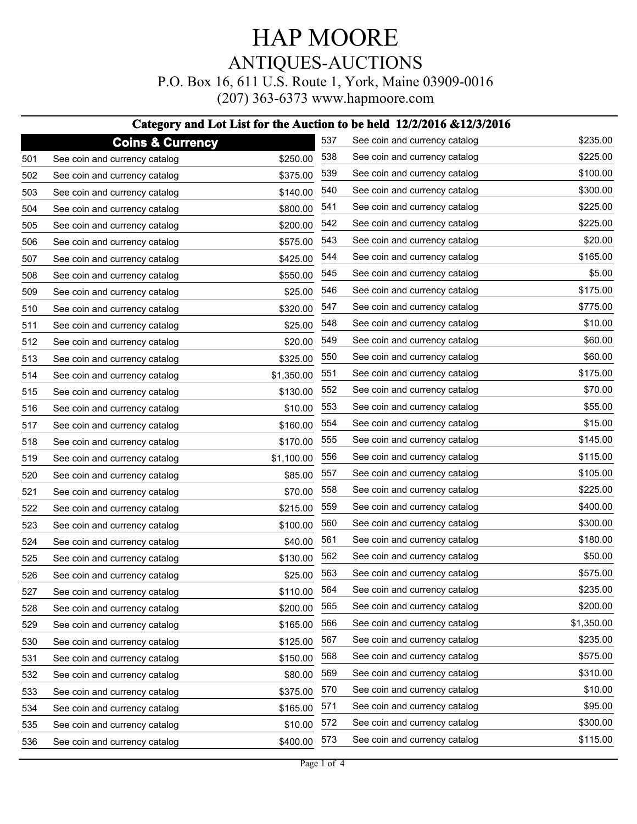### HAP MOORE ANTIQUES-AUCTIONS P.O. Box 16, 611 U.S. Route 1, York, Maine 03909-0016

(207) 363-6373 www.hapmoore.com

#### **Category and Lot List for the Auction to be held 12/2/2016 &12/3/2016**

|     | <b>Coins &amp; Currency</b>   |            | 537 | See coin and currency catalog | \$235.00   |
|-----|-------------------------------|------------|-----|-------------------------------|------------|
| 501 | See coin and currency catalog | \$250.00   | 538 | See coin and currency catalog | \$225.00   |
| 502 | See coin and currency catalog | \$375.00   | 539 | See coin and currency catalog | \$100.00   |
| 503 | See coin and currency catalog | \$140.00   | 540 | See coin and currency catalog | \$300.00   |
| 504 | See coin and currency catalog | \$800.00   | 541 | See coin and currency catalog | \$225.00   |
| 505 | See coin and currency catalog | \$200.00   | 542 | See coin and currency catalog | \$225.00   |
| 506 | See coin and currency catalog | \$575.00   | 543 | See coin and currency catalog | \$20.00    |
| 507 | See coin and currency catalog | \$425.00   | 544 | See coin and currency catalog | \$165.00   |
| 508 | See coin and currency catalog | \$550.00   | 545 | See coin and currency catalog | \$5.00     |
| 509 | See coin and currency catalog | \$25.00    | 546 | See coin and currency catalog | \$175.00   |
| 510 | See coin and currency catalog | \$320.00   | 547 | See coin and currency catalog | \$775.00   |
| 511 | See coin and currency catalog | \$25.00    | 548 | See coin and currency catalog | \$10.00    |
| 512 | See coin and currency catalog | \$20.00    | 549 | See coin and currency catalog | \$60.00    |
| 513 | See coin and currency catalog | \$325.00   | 550 | See coin and currency catalog | \$60.00    |
| 514 | See coin and currency catalog | \$1,350.00 | 551 | See coin and currency catalog | \$175.00   |
| 515 | See coin and currency catalog | \$130.00   | 552 | See coin and currency catalog | \$70.00    |
| 516 | See coin and currency catalog | \$10.00    | 553 | See coin and currency catalog | \$55.00    |
| 517 | See coin and currency catalog | \$160.00   | 554 | See coin and currency catalog | \$15.00    |
| 518 | See coin and currency catalog | \$170.00   | 555 | See coin and currency catalog | \$145.00   |
| 519 | See coin and currency catalog | \$1,100.00 | 556 | See coin and currency catalog | \$115.00   |
| 520 | See coin and currency catalog | \$85.00    | 557 | See coin and currency catalog | \$105.00   |
| 521 | See coin and currency catalog | \$70.00    | 558 | See coin and currency catalog | \$225.00   |
| 522 | See coin and currency catalog | \$215.00   | 559 | See coin and currency catalog | \$400.00   |
| 523 | See coin and currency catalog | \$100.00   | 560 | See coin and currency catalog | \$300.00   |
| 524 | See coin and currency catalog | \$40.00    | 561 | See coin and currency catalog | \$180.00   |
| 525 | See coin and currency catalog | \$130.00   | 562 | See coin and currency catalog | \$50.00    |
| 526 | See coin and currency catalog | \$25.00    | 563 | See coin and currency catalog | \$575.00   |
| 527 | See coin and currency catalog | \$110.00   | 564 | See coin and currency catalog | \$235.00   |
| 528 | See coin and currency catalog | \$200.00   | 565 | See coin and currency catalog | \$200.00   |
| 529 | See coin and currency catalog | \$165.00   | 566 | See coin and currency catalog | \$1,350.00 |
| 530 | See coin and currency catalog | \$125.00   | 567 | See coin and currency catalog | \$235.00   |
| 531 | See coin and currency catalog | \$150.00   | 568 | See coin and currency catalog | \$575.00   |
| 532 | See coin and currency catalog | \$80.00    | 569 | See coin and currency catalog | \$310.00   |
| 533 | See coin and currency catalog | \$375.00   | 570 | See coin and currency catalog | \$10.00    |
| 534 | See coin and currency catalog | \$165.00   | 571 | See coin and currency catalog | \$95.00    |
| 535 | See coin and currency catalog | \$10.00    | 572 | See coin and currency catalog | \$300.00   |
| 536 | See coin and currency catalog | \$400.00   | 573 | See coin and currency catalog | \$115.00   |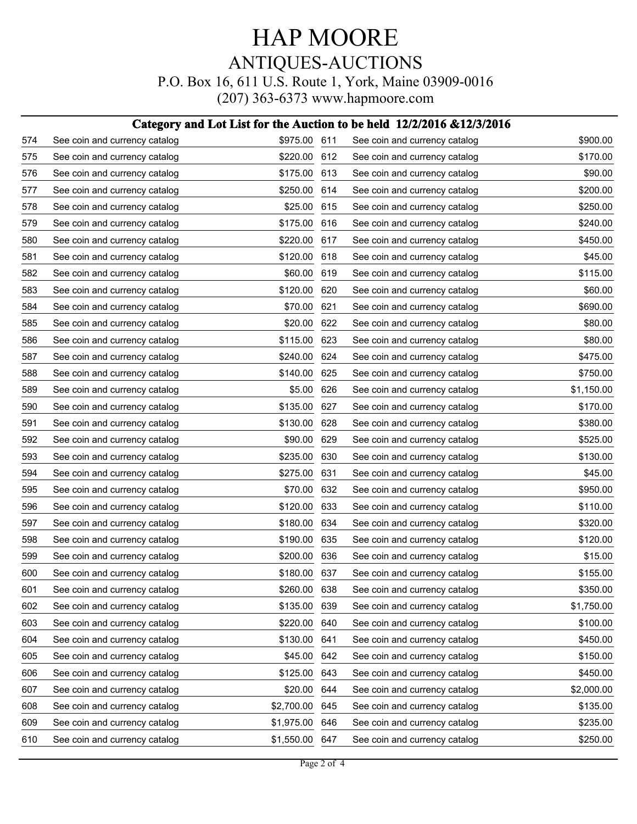## HAP MOORE ANTIQUES-AUCTIONS P.O. Box 16, 611 U.S. Route 1, York, Maine 03909-0016

(207) 363-6373 www.hapmoore.com

#### **Category and Lot List for the Auction to be held 12/2/2016 &12/3/2016**

| 574 | See coin and currency catalog | \$975.00 611 |     | See coin and currency catalog | \$900.00   |
|-----|-------------------------------|--------------|-----|-------------------------------|------------|
| 575 | See coin and currency catalog | \$220.00     | 612 | See coin and currency catalog | \$170.00   |
| 576 | See coin and currency catalog | \$175.00     | 613 | See coin and currency catalog | \$90.00    |
| 577 | See coin and currency catalog | \$250.00     | 614 | See coin and currency catalog | \$200.00   |
| 578 | See coin and currency catalog | \$25.00      | 615 | See coin and currency catalog | \$250.00   |
| 579 | See coin and currency catalog | \$175.00     | 616 | See coin and currency catalog | \$240.00   |
| 580 | See coin and currency catalog | \$220.00     | 617 | See coin and currency catalog | \$450.00   |
| 581 | See coin and currency catalog | \$120.00     | 618 | See coin and currency catalog | \$45.00    |
| 582 | See coin and currency catalog | \$60.00      | 619 | See coin and currency catalog | \$115.00   |
| 583 | See coin and currency catalog | \$120.00     | 620 | See coin and currency catalog | \$60.00    |
| 584 | See coin and currency catalog | \$70.00      | 621 | See coin and currency catalog | \$690.00   |
| 585 | See coin and currency catalog | \$20.00      | 622 | See coin and currency catalog | \$80.00    |
| 586 | See coin and currency catalog | \$115.00     | 623 | See coin and currency catalog | \$80.00    |
| 587 | See coin and currency catalog | \$240.00     | 624 | See coin and currency catalog | \$475.00   |
| 588 | See coin and currency catalog | \$140.00     | 625 | See coin and currency catalog | \$750.00   |
| 589 | See coin and currency catalog | \$5.00       | 626 | See coin and currency catalog | \$1,150.00 |
| 590 | See coin and currency catalog | \$135.00     | 627 | See coin and currency catalog | \$170.00   |
| 591 | See coin and currency catalog | \$130.00     | 628 | See coin and currency catalog | \$380.00   |
| 592 | See coin and currency catalog | \$90.00      | 629 | See coin and currency catalog | \$525.00   |
| 593 | See coin and currency catalog | \$235.00     | 630 | See coin and currency catalog | \$130.00   |
| 594 | See coin and currency catalog | \$275.00     | 631 | See coin and currency catalog | \$45.00    |
| 595 | See coin and currency catalog | \$70.00      | 632 | See coin and currency catalog | \$950.00   |
| 596 | See coin and currency catalog | \$120.00     | 633 | See coin and currency catalog | \$110.00   |
| 597 | See coin and currency catalog | \$180.00     | 634 | See coin and currency catalog | \$320.00   |
| 598 | See coin and currency catalog | \$190.00     | 635 | See coin and currency catalog | \$120.00   |
| 599 | See coin and currency catalog | \$200.00     | 636 | See coin and currency catalog | \$15.00    |
| 600 | See coin and currency catalog | \$180.00     | 637 | See coin and currency catalog | \$155.00   |
| 601 | See coin and currency catalog | \$260.00 638 |     | See coin and currency catalog | \$350.00   |
| 602 | See coin and currency catalog | \$135.00     | 639 | See coin and currency catalog | \$1,750.00 |
| 603 | See coin and currency catalog | \$220.00     | 640 | See coin and currency catalog | \$100.00   |
| 604 | See coin and currency catalog | \$130.00     | 641 | See coin and currency catalog | \$450.00   |
| 605 | See coin and currency catalog | \$45.00      | 642 | See coin and currency catalog | \$150.00   |
| 606 | See coin and currency catalog | \$125.00     | 643 | See coin and currency catalog | \$450.00   |
| 607 | See coin and currency catalog | \$20.00      | 644 | See coin and currency catalog | \$2,000.00 |
| 608 | See coin and currency catalog | \$2,700.00   | 645 | See coin and currency catalog | \$135.00   |
| 609 | See coin and currency catalog | \$1,975.00   | 646 | See coin and currency catalog | \$235.00   |
| 610 | See coin and currency catalog | \$1,550.00   | 647 | See coin and currency catalog | \$250.00   |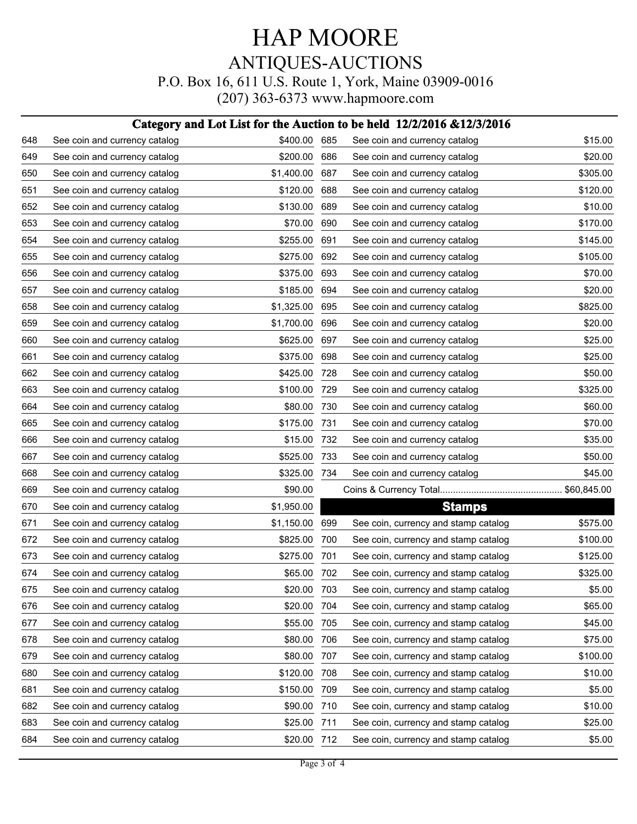## HAP MOORE ANTIQUES-AUCTIONS P.O. Box 16, 611 U.S. Route 1, York, Maine 03909-0016

(207) 363-6373 www.hapmoore.com

#### **Category and Lot List for the Auction to be held 12/2/2016 &12/3/2016**

| 648 | See coin and currency catalog | \$400.00 685 |     | See coin and currency catalog        | \$15.00  |
|-----|-------------------------------|--------------|-----|--------------------------------------|----------|
| 649 | See coin and currency catalog | \$200.00     | 686 | See coin and currency catalog        | \$20.00  |
| 650 | See coin and currency catalog | \$1,400.00   | 687 | See coin and currency catalog        | \$305.00 |
| 651 | See coin and currency catalog | \$120.00     | 688 | See coin and currency catalog        | \$120.00 |
| 652 | See coin and currency catalog | \$130.00     | 689 | See coin and currency catalog        | \$10.00  |
| 653 | See coin and currency catalog | \$70.00      | 690 | See coin and currency catalog        | \$170.00 |
| 654 | See coin and currency catalog | \$255.00     | 691 | See coin and currency catalog        | \$145.00 |
| 655 | See coin and currency catalog | \$275.00     | 692 | See coin and currency catalog        | \$105.00 |
| 656 | See coin and currency catalog | \$375.00     | 693 | See coin and currency catalog        | \$70.00  |
| 657 | See coin and currency catalog | \$185.00     | 694 | See coin and currency catalog        | \$20.00  |
| 658 | See coin and currency catalog | \$1,325.00   | 695 | See coin and currency catalog        | \$825.00 |
| 659 | See coin and currency catalog | \$1,700.00   | 696 | See coin and currency catalog        | \$20.00  |
| 660 | See coin and currency catalog | \$625.00     | 697 | See coin and currency catalog        | \$25.00  |
| 661 | See coin and currency catalog | \$375.00     | 698 | See coin and currency catalog        | \$25.00  |
| 662 | See coin and currency catalog | \$425.00     | 728 | See coin and currency catalog        | \$50.00  |
| 663 | See coin and currency catalog | \$100.00     | 729 | See coin and currency catalog        | \$325.00 |
| 664 | See coin and currency catalog | \$80.00      | 730 | See coin and currency catalog        | \$60.00  |
| 665 | See coin and currency catalog | \$175.00     | 731 | See coin and currency catalog        | \$70.00  |
| 666 | See coin and currency catalog | \$15.00      | 732 | See coin and currency catalog        | \$35.00  |
| 667 | See coin and currency catalog | \$525.00     | 733 | See coin and currency catalog        | \$50.00  |
| 668 | See coin and currency catalog | \$325.00     | 734 | See coin and currency catalog        | \$45.00  |
| 669 | See coin and currency catalog | \$90.00      |     |                                      |          |
| 670 | See coin and currency catalog | \$1,950.00   |     | <b>Stamps</b>                        |          |
| 671 | See coin and currency catalog | \$1,150.00   | 699 | See coin, currency and stamp catalog | \$575.00 |
| 672 | See coin and currency catalog | \$825.00     | 700 | See coin, currency and stamp catalog | \$100.00 |
| 673 | See coin and currency catalog | \$275.00     | 701 | See coin, currency and stamp catalog | \$125.00 |
| 674 | See coin and currency catalog | \$65.00      | 702 | See coin, currency and stamp catalog | \$325.00 |
| 675 | See coin and currency catalog | \$20.00 703  |     | See coin, currency and stamp catalog | \$5.00   |
| 676 | See coin and currency catalog | \$20.00      | 704 | See coin, currency and stamp catalog | \$65.00  |
| 677 | See coin and currency catalog | \$55.00      | 705 | See coin, currency and stamp catalog | \$45.00  |
| 678 | See coin and currency catalog | \$80.00      | 706 | See coin, currency and stamp catalog | \$75.00  |
| 679 | See coin and currency catalog | \$80.00      | 707 | See coin, currency and stamp catalog | \$100.00 |
| 680 | See coin and currency catalog | \$120.00     | 708 | See coin, currency and stamp catalog | \$10.00  |
| 681 | See coin and currency catalog | \$150.00     | 709 | See coin, currency and stamp catalog | \$5.00   |
| 682 | See coin and currency catalog | \$90.00      | 710 | See coin, currency and stamp catalog | \$10.00  |
| 683 | See coin and currency catalog | \$25.00      | 711 | See coin, currency and stamp catalog | \$25.00  |
| 684 | See coin and currency catalog | \$20.00      | 712 | See coin, currency and stamp catalog | \$5.00   |